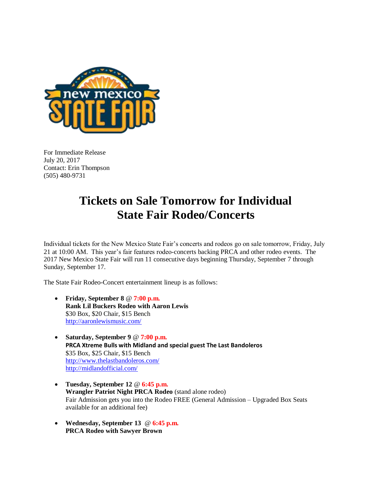

For Immediate Release July 20, 2017 Contact: Erin Thompson (505) 480-9731

## **Tickets on Sale Tomorrow for Individual State Fair Rodeo/Concerts**

Individual tickets for the New Mexico State Fair's concerts and rodeos go on sale tomorrow, Friday, July 21 at 10:00 AM. This year's fair features rodeo-concerts backing PRCA and other rodeo events. The 2017 New Mexico State Fair will run 11 consecutive days beginning Thursday, September 7 through Sunday, September 17.

The State Fair Rodeo-Concert entertainment lineup is as follows:

- **Friday, September 8** @ **7:00 p.m. Rank Lil Buckers Rodeo with Aaron Lewis** \$30 Box, \$20 Chair, \$15 Bench <http://aaronlewismusic.com/>
- **Saturday, September 9** @ **7:00 p.m. PRCA Xtreme Bulls with Midland and special guest The Last Bandoleros** \$35 Box, \$25 Chair, \$15 Bench <http://www.thelastbandoleros.com/> <http://midlandofficial.com/>
- **Tuesday, September 12** @ **6:45 p.m. Wrangler Patriot Night PRCA Rodeo** (stand alone rodeo) Fair Admission gets you into the Rodeo FREE (General Admission – Upgraded Box Seats available for an additional fee)
- **Wednesday, September 13** @ **6:45 p.m. PRCA Rodeo with Sawyer Brown**